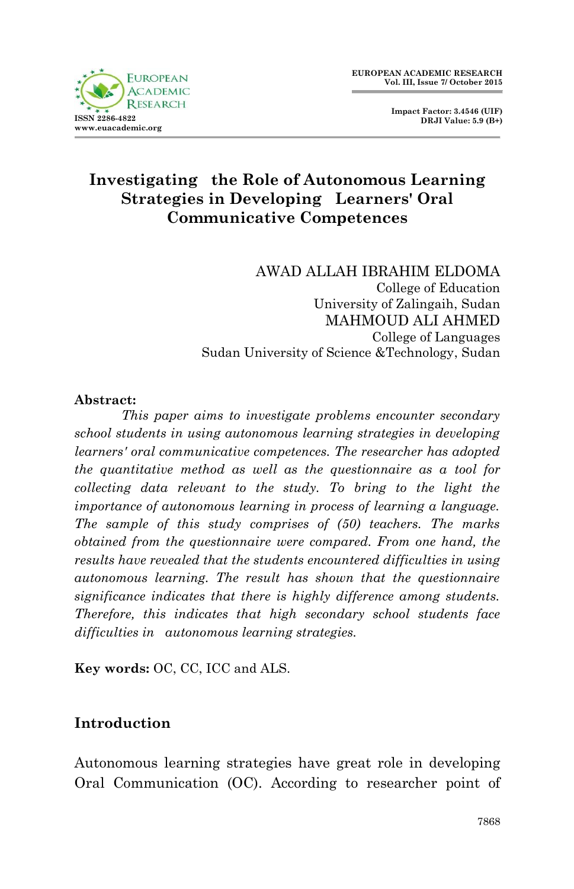

 **Impact Factor: 3.4546 (UIF) DRJI Value: 5.9 (B+)**

# **Investigating the Role of Autonomous Learning Strategies in Developing Learners' Oral Communicative Competences**

AWAD ALLAH IBRAHIM ELDOMA College of Education University of Zalingaih, Sudan MAHMOUD ALI AHMED College of Languages Sudan University of Science &Technology, Sudan

#### **Abstract:**

*This paper aims to investigate problems encounter secondary school students in using autonomous learning strategies in developing learners' oral communicative competences. The researcher has adopted the quantitative method as well as the questionnaire as a tool for collecting data relevant to the study. To bring to the light the importance of autonomous learning in process of learning a language. The sample of this study comprises of (50) teachers. The marks obtained from the questionnaire were compared. From one hand, the results have revealed that the students encountered difficulties in using autonomous learning. The result has shown that the questionnaire significance indicates that there is highly difference among students. Therefore, this indicates that high secondary school students face difficulties in autonomous learning strategies.*

**Key words:** OC, CC, ICC and ALS.

### **Introduction**

Autonomous learning strategies have great role in developing Oral Communication (OC). According to researcher point of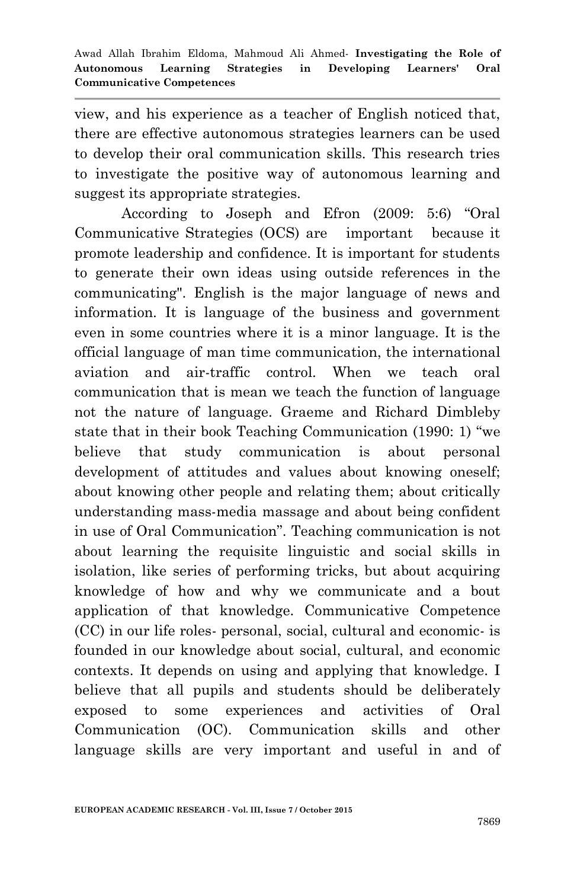view, and his experience as a teacher of English noticed that, there are effective autonomous strategies learners can be used to develop their oral communication skills. This research tries to investigate the positive way of autonomous learning and suggest its appropriate strategies.

According to Joseph and Efron (2009: 5:6) "Oral Communicative Strategies (OCS) are important because it promote leadership and confidence. It is important for students to generate their own ideas using outside references in the communicating". English is the major language of news and information. It is language of the business and government even in some countries where it is a minor language. It is the official language of man time communication, the international aviation and air-traffic control. When we teach oral communication that is mean we teach the function of language not the nature of language. Graeme and Richard Dimbleby state that in their book Teaching Communication (1990: 1) "we believe that study communication is about personal development of attitudes and values about knowing oneself; about knowing other people and relating them; about critically understanding mass-media massage and about being confident in use of Oral Communication". Teaching communication is not about learning the requisite linguistic and social skills in isolation, like series of performing tricks, but about acquiring knowledge of how and why we communicate and a bout application of that knowledge. Communicative Competence (CC) in our life roles- personal, social, cultural and economic- is founded in our knowledge about social, cultural, and economic contexts. It depends on using and applying that knowledge. I believe that all pupils and students should be deliberately exposed to some experiences and activities of Oral Communication (OC). Communication skills and other language skills are very important and useful in and of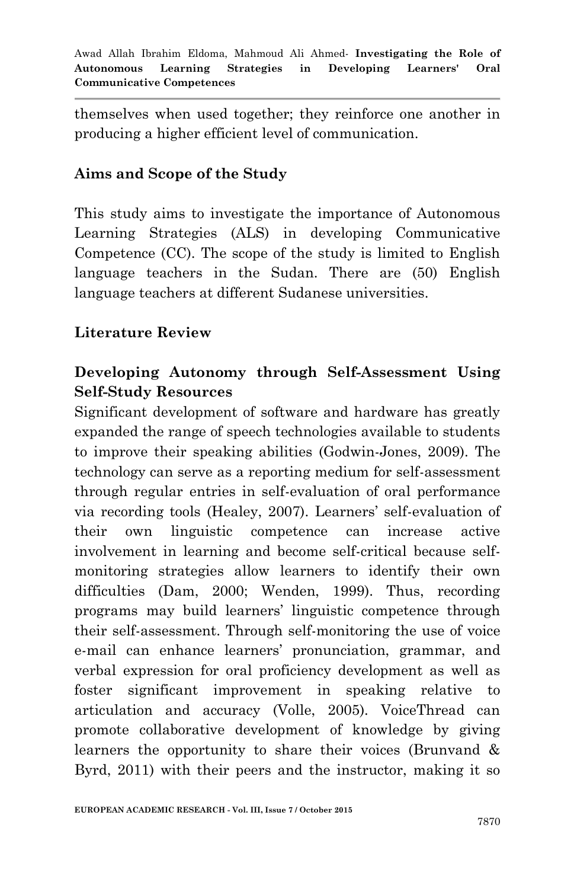themselves when used together; they reinforce one another in producing a higher efficient level of communication.

### **Aims and Scope of the Study**

This study aims to investigate the importance of Autonomous Learning Strategies (ALS) in developing Communicative Competence (CC). The scope of the study is limited to English language teachers in the Sudan. There are (50) English language teachers at different Sudanese universities.

### **Literature Review**

## **Developing Autonomy through Self-Assessment Using Self-Study Resources**

Significant development of software and hardware has greatly expanded the range of speech technologies available to students to improve their speaking abilities (Godwin-Jones, 2009). The technology can serve as a reporting medium for self-assessment through regular entries in self-evaluation of oral performance via recording tools (Healey, 2007). Learners" self-evaluation of their own linguistic competence can increase active involvement in learning and become self-critical because selfmonitoring strategies allow learners to identify their own difficulties (Dam, 2000; Wenden, 1999). Thus, recording programs may build learners" linguistic competence through their self-assessment. Through self-monitoring the use of voice e-mail can enhance learners' pronunciation, grammar, and verbal expression for oral proficiency development as well as foster significant improvement in speaking relative to articulation and accuracy (Volle, 2005). VoiceThread can promote collaborative development of knowledge by giving learners the opportunity to share their voices (Brunvand & Byrd, 2011) with their peers and the instructor, making it so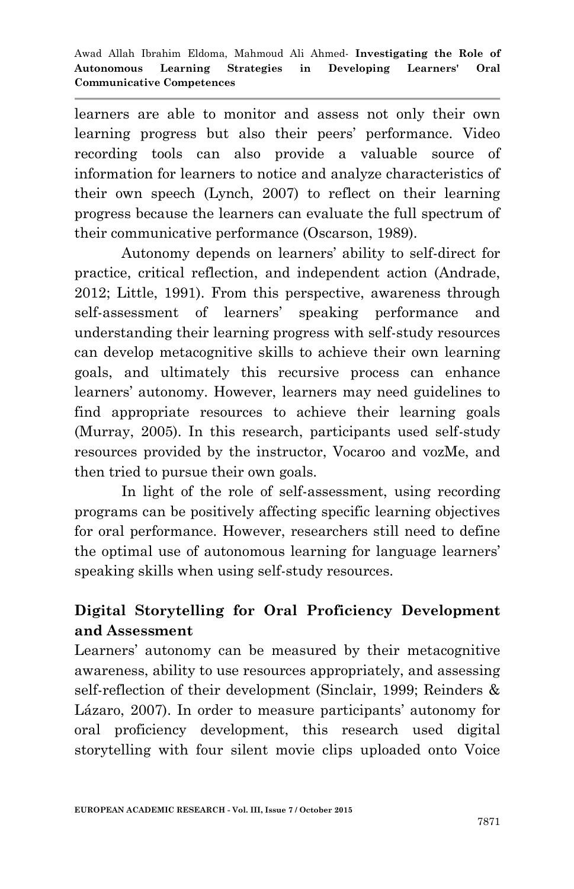learners are able to monitor and assess not only their own learning progress but also their peers' performance. Video recording tools can also provide a valuable source of information for learners to notice and analyze characteristics of their own speech (Lynch, 2007) to reflect on their learning progress because the learners can evaluate the full spectrum of their communicative performance (Oscarson, 1989).

Autonomy depends on learners" ability to self-direct for practice, critical reflection, and independent action (Andrade, 2012; Little, 1991). From this perspective, awareness through self-assessment of learners' speaking performance and understanding their learning progress with self-study resources can develop metacognitive skills to achieve their own learning goals, and ultimately this recursive process can enhance learners' autonomy. However, learners may need guidelines to find appropriate resources to achieve their learning goals (Murray, 2005). In this research, participants used self-study resources provided by the instructor, Vocaroo and vozMe, and then tried to pursue their own goals.

In light of the role of self-assessment, using recording programs can be positively affecting specific learning objectives for oral performance. However, researchers still need to define the optimal use of autonomous learning for language learners" speaking skills when using self-study resources.

# **Digital Storytelling for Oral Proficiency Development and Assessment**

Learners' autonomy can be measured by their metacognitive awareness, ability to use resources appropriately, and assessing self-reflection of their development (Sinclair, 1999; Reinders & Lázaro, 2007). In order to measure participants' autonomy for oral proficiency development, this research used digital storytelling with four silent movie clips uploaded onto Voice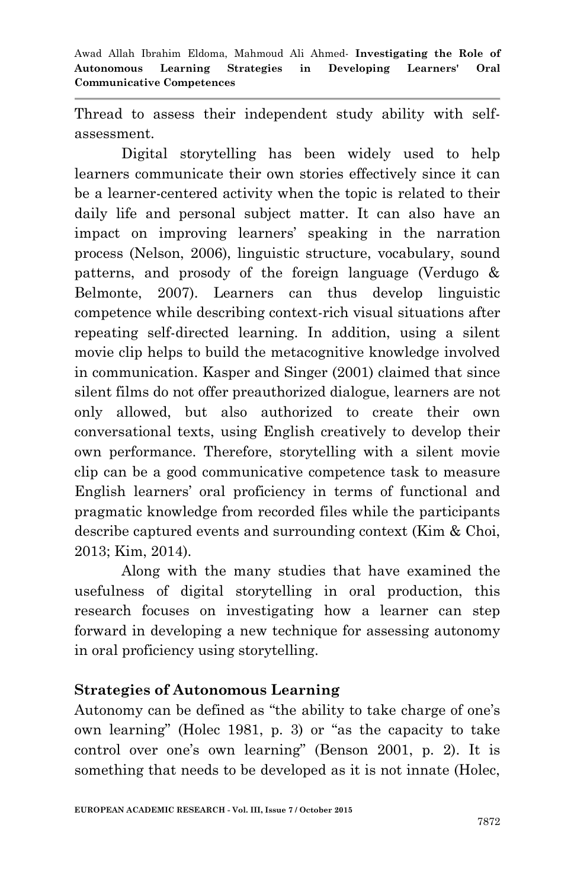Awad Allah Ibrahim Eldoma, Mahmoud Ali Ahmed*-* **Investigating the Role of Autonomous Learning Strategies in Developing Learners' Oral Communicative Competences**

Thread to assess their independent study ability with selfassessment.

Digital storytelling has been widely used to help learners communicate their own stories effectively since it can be a learner-centered activity when the topic is related to their daily life and personal subject matter. It can also have an impact on improving learners" speaking in the narration process (Nelson, 2006), linguistic structure, vocabulary, sound patterns, and prosody of the foreign language (Verdugo & Belmonte, 2007). Learners can thus develop linguistic competence while describing context-rich visual situations after repeating self-directed learning. In addition, using a silent movie clip helps to build the metacognitive knowledge involved in communication. Kasper and Singer (2001) claimed that since silent films do not offer preauthorized dialogue, learners are not only allowed, but also authorized to create their own conversational texts, using English creatively to develop their own performance. Therefore, storytelling with a silent movie clip can be a good communicative competence task to measure English learners' oral proficiency in terms of functional and pragmatic knowledge from recorded files while the participants describe captured events and surrounding context (Kim & Choi, 2013; Kim, 2014).

Along with the many studies that have examined the usefulness of digital storytelling in oral production, this research focuses on investigating how a learner can step forward in developing a new technique for assessing autonomy in oral proficiency using storytelling.

### **Strategies of Autonomous Learning**

Autonomy can be defined as "the ability to take charge of one"s own learning" (Holec 1981, p. 3) or "as the capacity to take control over one"s own learning" (Benson 2001, p. 2). It is something that needs to be developed as it is not innate (Holec,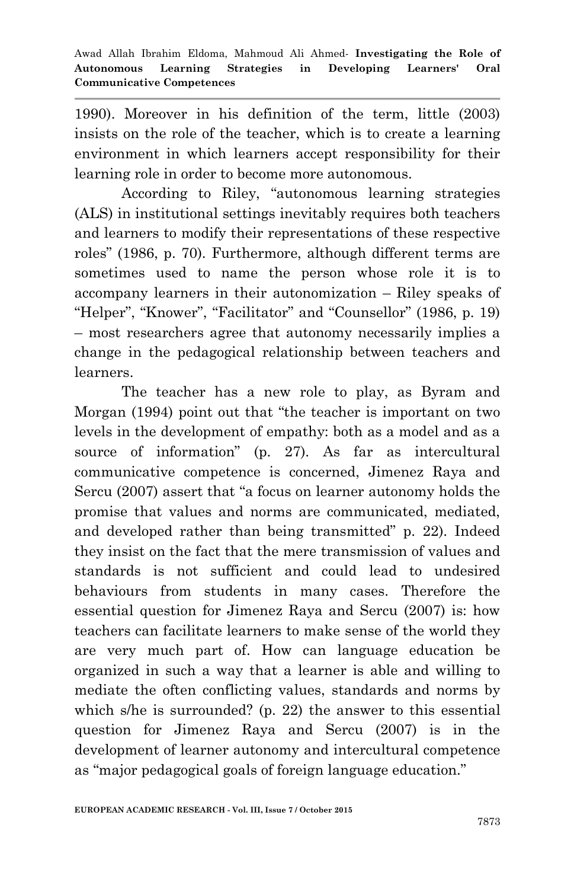1990). Moreover in his definition of the term, little (2003) insists on the role of the teacher, which is to create a learning environment in which learners accept responsibility for their learning role in order to become more autonomous.

According to Riley, "autonomous learning strategies (ALS) in institutional settings inevitably requires both teachers and learners to modify their representations of these respective roles" (1986, p. 70). Furthermore, although different terms are sometimes used to name the person whose role it is to accompany learners in their autonomization – Riley speaks of "Helper", "Knower", "Facilitator" and "Counsellor" (1986, p. 19) – most researchers agree that autonomy necessarily implies a change in the pedagogical relationship between teachers and learners.

The teacher has a new role to play, as Byram and Morgan (1994) point out that "the teacher is important on two levels in the development of empathy: both as a model and as a source of information" (p. 27). As far as intercultural communicative competence is concerned, Jimenez Raya and Sercu (2007) assert that "a focus on learner autonomy holds the promise that values and norms are communicated, mediated, and developed rather than being transmitted" p. 22). Indeed they insist on the fact that the mere transmission of values and standards is not sufficient and could lead to undesired behaviours from students in many cases. Therefore the essential question for Jimenez Raya and Sercu (2007) is: how teachers can facilitate learners to make sense of the world they are very much part of. How can language education be organized in such a way that a learner is able and willing to mediate the often conflicting values, standards and norms by which s/he is surrounded? (p. 22) the answer to this essential question for Jimenez Raya and Sercu (2007) is in the development of learner autonomy and intercultural competence as "major pedagogical goals of foreign language education."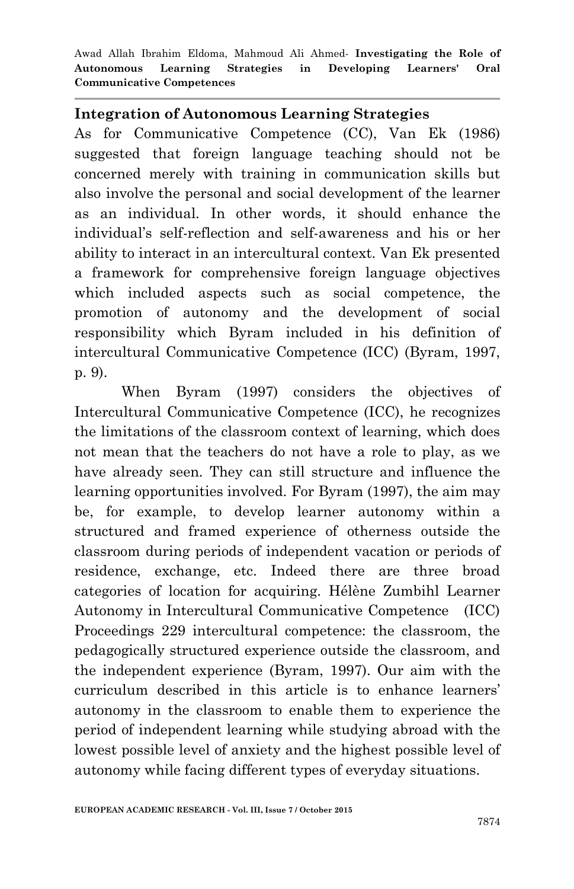Awad Allah Ibrahim Eldoma, Mahmoud Ali Ahmed*-* **Investigating the Role of Autonomous Learning Strategies in Developing Learners' Oral Communicative Competences**

#### **Integration of Autonomous Learning Strategies**

As for Communicative Competence (CC), Van Ek (1986) suggested that foreign language teaching should not be concerned merely with training in communication skills but also involve the personal and social development of the learner as an individual. In other words, it should enhance the individual"s self-reflection and self-awareness and his or her ability to interact in an intercultural context. Van Ek presented a framework for comprehensive foreign language objectives which included aspects such as social competence, the promotion of autonomy and the development of social responsibility which Byram included in his definition of intercultural Communicative Competence (ICC) (Byram, 1997, p. 9).

When Byram (1997) considers the objectives of Intercultural Communicative Competence (ICC), he recognizes the limitations of the classroom context of learning, which does not mean that the teachers do not have a role to play, as we have already seen. They can still structure and influence the learning opportunities involved. For Byram (1997), the aim may be, for example, to develop learner autonomy within a structured and framed experience of otherness outside the classroom during periods of independent vacation or periods of residence, exchange, etc. Indeed there are three broad categories of location for acquiring. Hélène Zumbihl Learner Autonomy in Intercultural Communicative Competence (ICC) Proceedings 229 intercultural competence: the classroom, the pedagogically structured experience outside the classroom, and the independent experience (Byram, 1997). Our aim with the curriculum described in this article is to enhance learners" autonomy in the classroom to enable them to experience the period of independent learning while studying abroad with the lowest possible level of anxiety and the highest possible level of autonomy while facing different types of everyday situations.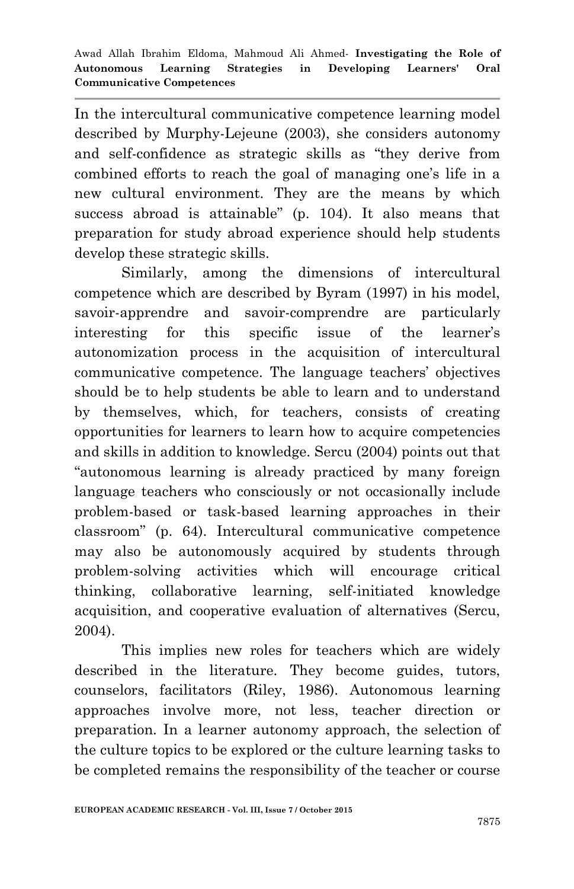In the intercultural communicative competence learning model described by Murphy-Lejeune (2003), she considers autonomy and self-confidence as strategic skills as "they derive from combined efforts to reach the goal of managing one"s life in a new cultural environment. They are the means by which success abroad is attainable" (p. 104). It also means that preparation for study abroad experience should help students develop these strategic skills.

Similarly, among the dimensions of intercultural competence which are described by Byram (1997) in his model, savoir-apprendre and savoir-comprendre are particularly interesting for this specific issue of the learner"s autonomization process in the acquisition of intercultural communicative competence. The language teachers" objectives should be to help students be able to learn and to understand by themselves, which, for teachers, consists of creating opportunities for learners to learn how to acquire competencies and skills in addition to knowledge. Sercu (2004) points out that "autonomous learning is already practiced by many foreign language teachers who consciously or not occasionally include problem-based or task-based learning approaches in their classroom" (p. 64). Intercultural communicative competence may also be autonomously acquired by students through problem-solving activities which will encourage critical thinking, collaborative learning, self-initiated knowledge acquisition, and cooperative evaluation of alternatives (Sercu, 2004).

This implies new roles for teachers which are widely described in the literature. They become guides, tutors, counselors, facilitators (Riley, 1986). Autonomous learning approaches involve more, not less, teacher direction or preparation. In a learner autonomy approach, the selection of the culture topics to be explored or the culture learning tasks to be completed remains the responsibility of the teacher or course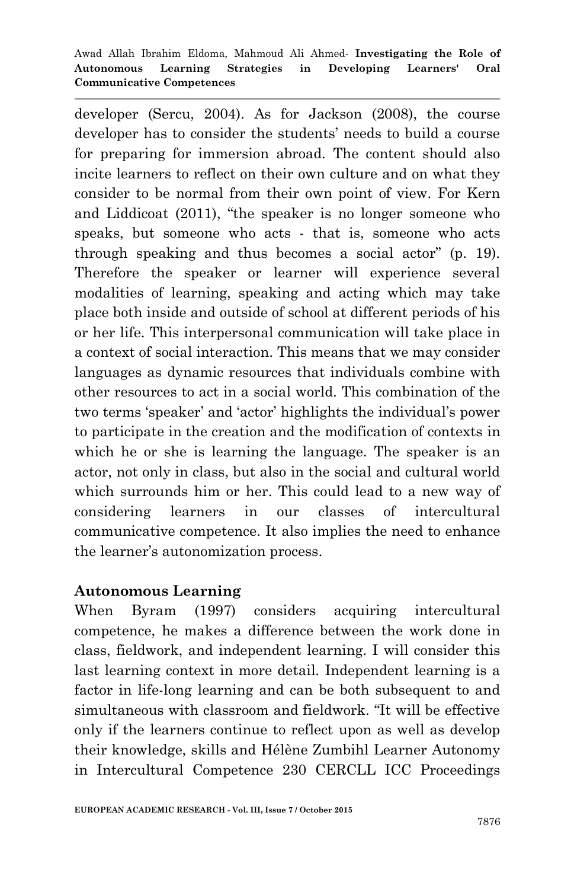developer (Sercu, 2004). As for Jackson (2008), the course developer has to consider the students' needs to build a course for preparing for immersion abroad. The content should also incite learners to reflect on their own culture and on what they consider to be normal from their own point of view. For Kern and Liddicoat (2011), "the speaker is no longer someone who speaks, but someone who acts - that is, someone who acts through speaking and thus becomes a social actor" (p. 19). Therefore the speaker or learner will experience several modalities of learning, speaking and acting which may take place both inside and outside of school at different periods of his or her life. This interpersonal communication will take place in a context of social interaction. This means that we may consider languages as dynamic resources that individuals combine with other resources to act in a social world. This combination of the two terms "speaker" and "actor" highlights the individual"s power to participate in the creation and the modification of contexts in which he or she is learning the language. The speaker is an actor, not only in class, but also in the social and cultural world which surrounds him or her. This could lead to a new way of considering learners in our classes of intercultural communicative competence. It also implies the need to enhance the learner's autonomization process.

### **Autonomous Learning**

When Byram (1997) considers acquiring intercultural competence, he makes a difference between the work done in class, fieldwork, and independent learning. I will consider this last learning context in more detail. Independent learning is a factor in life-long learning and can be both subsequent to and simultaneous with classroom and fieldwork. "It will be effective only if the learners continue to reflect upon as well as develop their knowledge, skills and Hélène Zumbihl Learner Autonomy in Intercultural Competence 230 CERCLL ICC Proceedings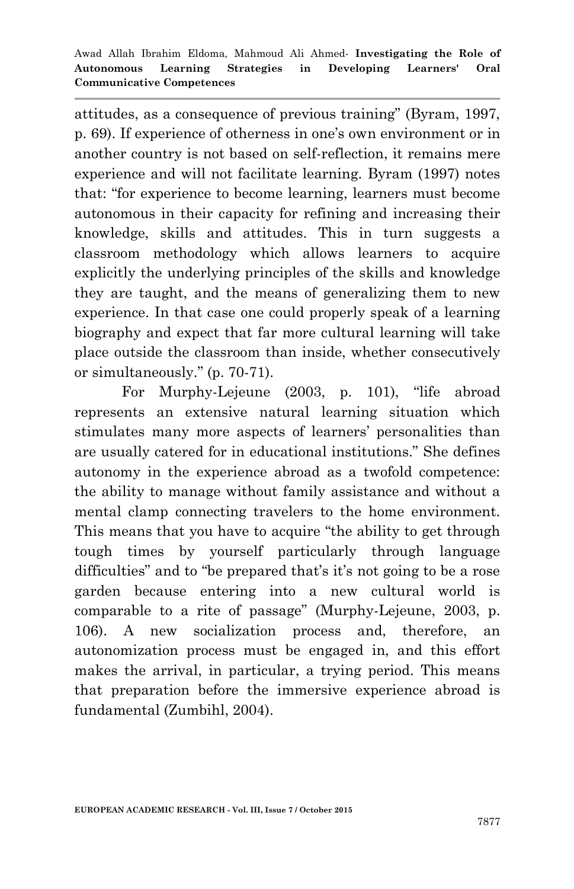attitudes, as a consequence of previous training" (Byram, 1997, p. 69). If experience of otherness in one's own environment or in another country is not based on self-reflection, it remains mere experience and will not facilitate learning. Byram (1997) notes that: "for experience to become learning, learners must become autonomous in their capacity for refining and increasing their knowledge, skills and attitudes. This in turn suggests a classroom methodology which allows learners to acquire explicitly the underlying principles of the skills and knowledge they are taught, and the means of generalizing them to new experience. In that case one could properly speak of a learning biography and expect that far more cultural learning will take place outside the classroom than inside, whether consecutively or simultaneously." (p. 70-71).

For Murphy-Lejeune (2003, p. 101), "life abroad represents an extensive natural learning situation which stimulates many more aspects of learners" personalities than are usually catered for in educational institutions." She defines autonomy in the experience abroad as a twofold competence: the ability to manage without family assistance and without a mental clamp connecting travelers to the home environment. This means that you have to acquire "the ability to get through tough times by yourself particularly through language difficulties" and to "be prepared that's it's not going to be a rose garden because entering into a new cultural world is comparable to a rite of passage" (Murphy-Lejeune, 2003, p. 106). A new socialization process and, therefore, an autonomization process must be engaged in, and this effort makes the arrival, in particular, a trying period. This means that preparation before the immersive experience abroad is fundamental (Zumbihl, 2004).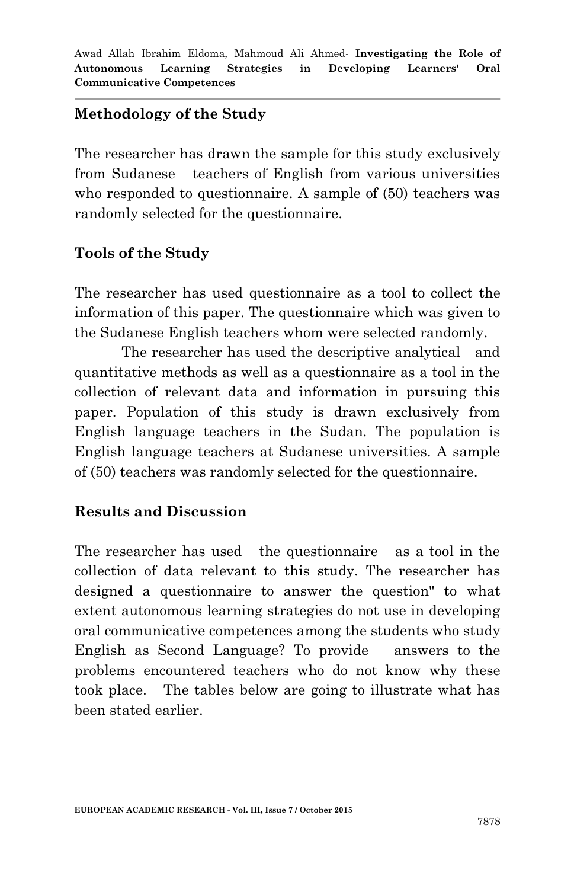## **Methodology of the Study**

The researcher has drawn the sample for this study exclusively from Sudanese teachers of English from various universities who responded to questionnaire. A sample of  $(50)$  teachers was randomly selected for the questionnaire.

## **Tools of the Study**

The researcher has used questionnaire as a tool to collect the information of this paper. The questionnaire which was given to the Sudanese English teachers whom were selected randomly.

The researcher has used the descriptive analytical and quantitative methods as well as a questionnaire as a tool in the collection of relevant data and information in pursuing this paper. Population of this study is drawn exclusively from English language teachers in the Sudan. The population is English language teachers at Sudanese universities. A sample of (50) teachers was randomly selected for the questionnaire.

### **Results and Discussion**

The researcher has used the questionnaire as a tool in the collection of data relevant to this study. The researcher has designed a questionnaire to answer the question" to what extent autonomous learning strategies do not use in developing oral communicative competences among the students who study English as Second Language? To provide answers to the problems encountered teachers who do not know why these took place. The tables below are going to illustrate what has been stated earlier.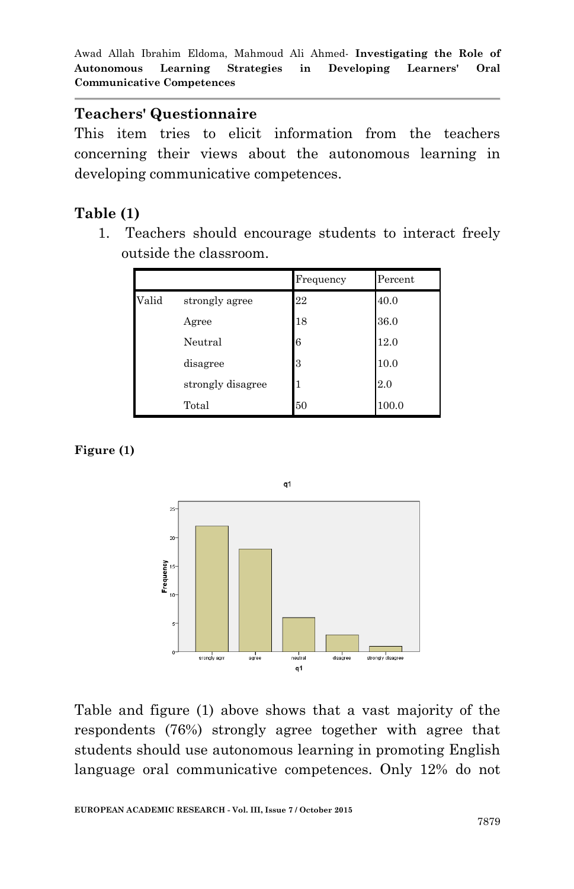## **Teachers' Questionnaire**

This item tries to elicit information from the teachers concerning their views about the autonomous learning in developing communicative competences.

# **Table (1)**

1. Teachers should encourage students to interact freely outside the classroom.

|       |                   | Frequency | Percent |
|-------|-------------------|-----------|---------|
| Valid | strongly agree    | 22        | 40.0    |
|       | Agree             | 18        | 36.0    |
|       | Neutral           | 6         | 12.0    |
|       | disagree          | 3         | 10.0    |
|       | strongly disagree |           | 2.0     |
|       | Total             | 50        | 100.0   |

**Figure (1)**



Table and figure (1) above shows that a vast majority of the respondents (76%) strongly agree together with agree that students should use autonomous learning in promoting English language oral communicative competences. Only 12% do not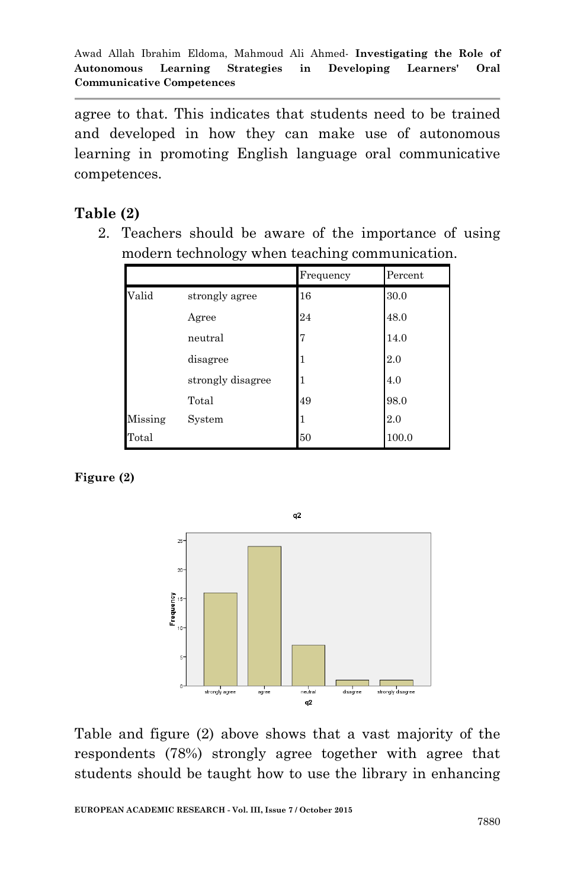agree to that. This indicates that students need to be trained and developed in how they can make use of autonomous learning in promoting English language oral communicative competences.

## **Table (2)**

2. Teachers should be aware of the importance of using modern technology when teaching communication.

|         |                   | Frequency | Percent |
|---------|-------------------|-----------|---------|
| Valid   | strongly agree    | 16        | 30.0    |
|         | Agree             | 24        | 48.0    |
|         | neutral           | 7         | 14.0    |
|         | disagree          | 1         | 2.0     |
|         | strongly disagree |           | 4.0     |
|         | Total             | 49        | 98.0    |
| Missing | System            | 1         | 2.0     |
| Total   |                   | 50        | 100.0   |

#### **Figure (2)**



Table and figure (2) above shows that a vast majority of the respondents (78%) strongly agree together with agree that students should be taught how to use the library in enhancing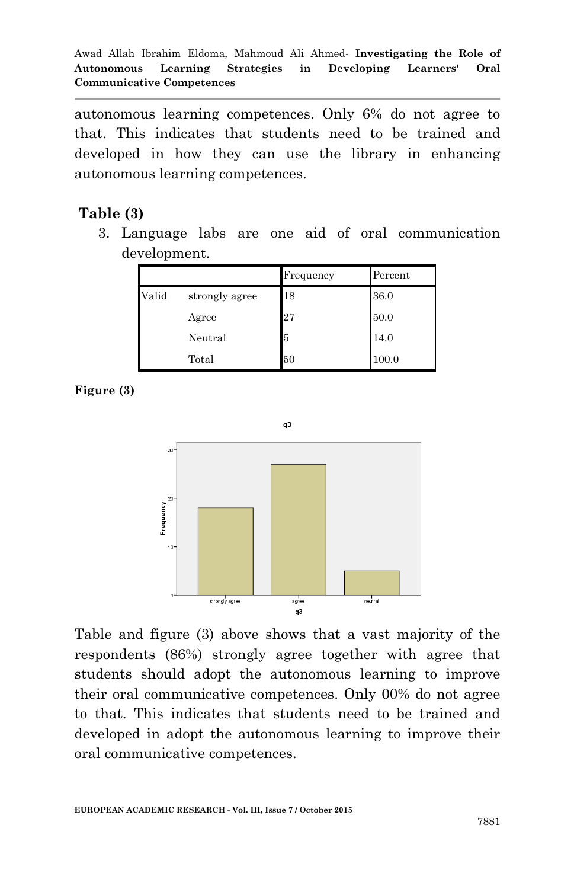autonomous learning competences. Only 6% do not agree to that. This indicates that students need to be trained and developed in how they can use the library in enhancing autonomous learning competences.

## **Table (3)**

3. Language labs are one aid of oral communication development.

|       |                | Frequency | Percent |
|-------|----------------|-----------|---------|
| Valid | strongly agree | 18        | 36.0    |
|       | Agree          | 27        | 50.0    |
|       | Neutral        | 5         | 14.0    |
|       | Total          | 50        | 100.0   |

**Figure (3)**



Table and figure (3) above shows that a vast majority of the respondents (86%) strongly agree together with agree that students should adopt the autonomous learning to improve their oral communicative competences. Only 00% do not agree to that. This indicates that students need to be trained and developed in adopt the autonomous learning to improve their oral communicative competences.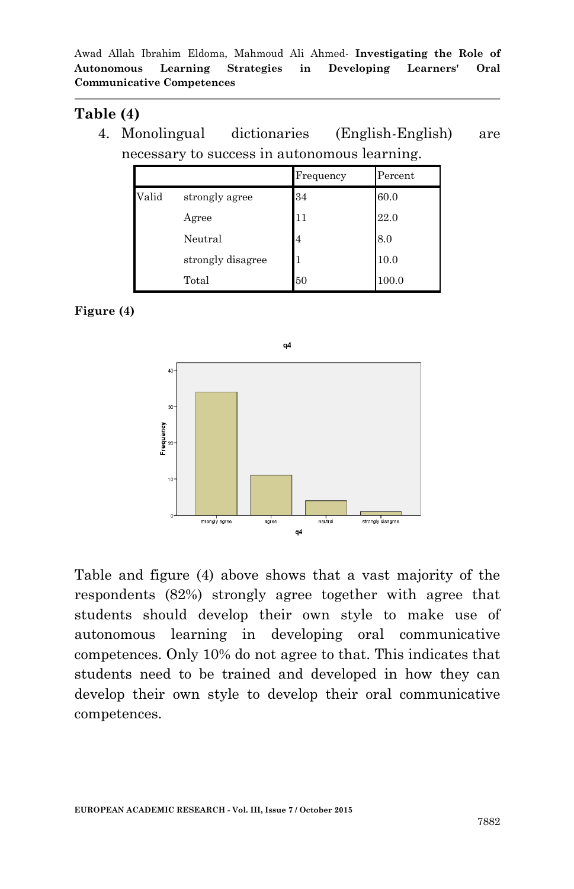## **Table (4)**

4. Monolingual dictionaries (English-English) are necessary to success in autonomous learning.

|       |                   | Frequency | Percent |
|-------|-------------------|-----------|---------|
| Valid | strongly agree    | 34        | 60.0    |
|       | Agree             | 11        | 22.0    |
|       | Neutral           | 4         | 8.0     |
|       | strongly disagree |           | 10.0    |
|       | Total             | 50        | 100.0   |

#### **Figure (4)**



Table and figure (4) above shows that a vast majority of the respondents (82%) strongly agree together with agree that students should develop their own style to make use of autonomous learning in developing oral communicative competences. Only 10% do not agree to that. This indicates that students need to be trained and developed in how they can develop their own style to develop their oral communicative competences.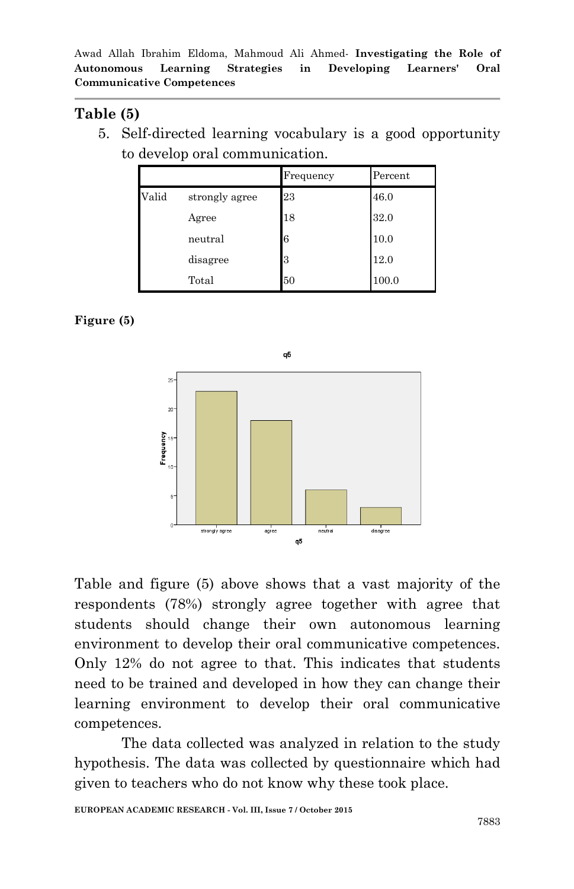### **Table (5)**

5. Self-directed learning vocabulary is a good opportunity to develop oral communication.

|       |                | Frequency | Percent |
|-------|----------------|-----------|---------|
| Valid | strongly agree | 23        | 46.0    |
|       | Agree          | 18        | 32.0    |
|       | neutral        | 6         | 10.0    |
|       | disagree       | 3         | 12.0    |
|       | Total          | 50        | 100.0   |

#### **Figure (5)**



Table and figure (5) above shows that a vast majority of the respondents (78%) strongly agree together with agree that students should change their own autonomous learning environment to develop their oral communicative competences. Only 12% do not agree to that. This indicates that students need to be trained and developed in how they can change their learning environment to develop their oral communicative competences.

The data collected was analyzed in relation to the study hypothesis. The data was collected by questionnaire which had given to teachers who do not know why these took place.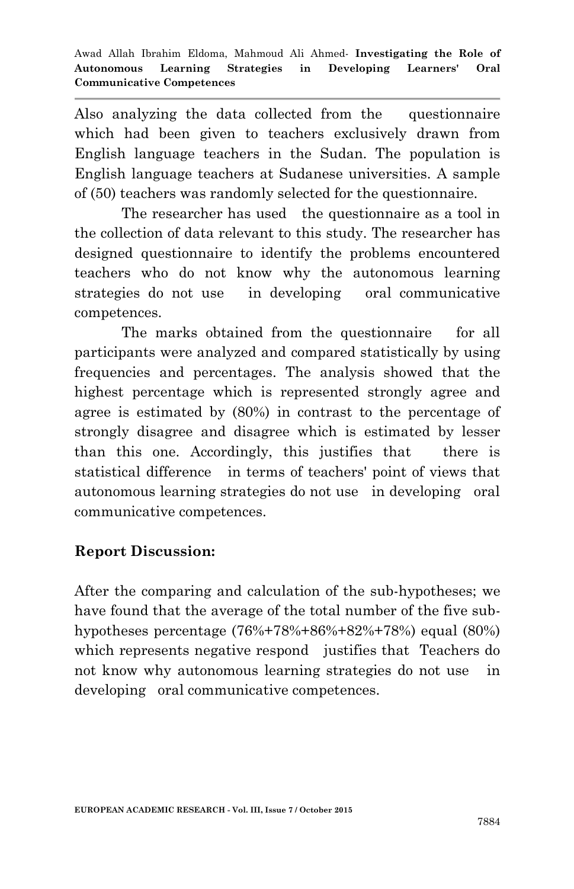Also analyzing the data collected from the questionnaire which had been given to teachers exclusively drawn from English language teachers in the Sudan. The population is English language teachers at Sudanese universities. A sample of (50) teachers was randomly selected for the questionnaire.

The researcher has used the questionnaire as a tool in the collection of data relevant to this study. The researcher has designed questionnaire to identify the problems encountered teachers who do not know why the autonomous learning strategies do not use in developing oral communicative competences.

The marks obtained from the questionnaire for all participants were analyzed and compared statistically by using frequencies and percentages. The analysis showed that the highest percentage which is represented strongly agree and agree is estimated by (80%) in contrast to the percentage of strongly disagree and disagree which is estimated by lesser than this one. Accordingly, this justifies that there is statistical difference in terms of teachers' point of views that autonomous learning strategies do not use in developing oral communicative competences.

## **Report Discussion:**

After the comparing and calculation of the sub-hypotheses; we have found that the average of the total number of the five subhypotheses percentage (76%+78%+86%+82%+78%) equal (80%) which represents negative respond justifies that Teachers do not know why autonomous learning strategies do not use in developing oral communicative competences.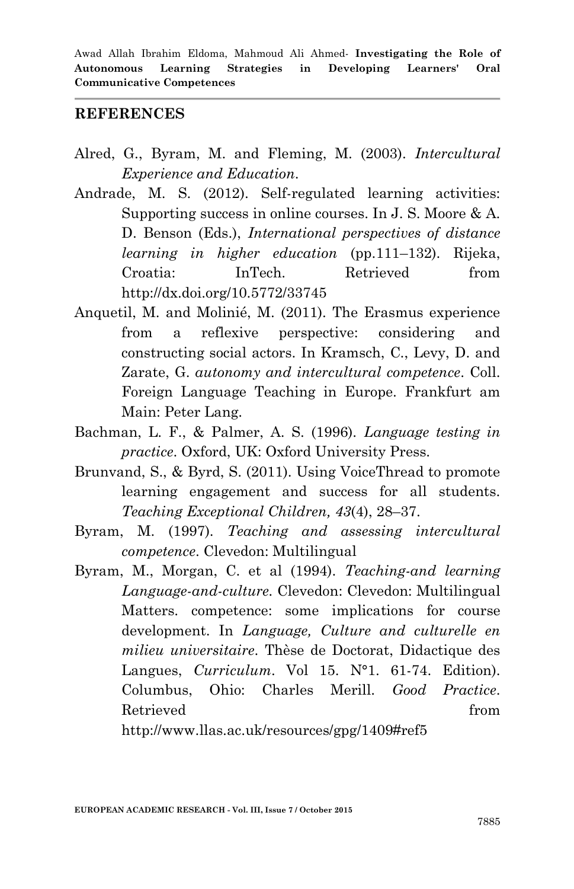#### **REFERENCES**

- Alred, G., Byram, M. and Fleming, M. (2003). *Intercultural Experience and Education*.
- Andrade, M. S. (2012). Self-regulated learning activities: Supporting success in online courses. In J. S. Moore & A. D. Benson (Eds.), *International perspectives of distance learning in higher education* (pp.111–132). Rijeka, Croatia: InTech. Retrieved from http://dx.doi.org/10.5772/33745
- Anquetil, M. and Molinié, M. (2011). The Erasmus experience from a reflexive perspective: considering and constructing social actors. In Kramsch, C., Levy, D. and Zarate, G. *autonomy and intercultural competence*. Coll. Foreign Language Teaching in Europe. Frankfurt am Main: Peter Lang.
- Bachman, L. F., & Palmer, A. S. (1996). *Language testing in practice*. Oxford, UK: Oxford University Press.
- Brunvand, S., & Byrd, S. (2011). Using VoiceThread to promote learning engagement and success for all students. *Teaching Exceptional Children, 43*(4), 28–37.
- Byram, M. (1997). *Teaching and assessing intercultural competence*. Clevedon: Multilingual
- Byram, M., Morgan, C. et al (1994). *Teaching-and learning Language-and-culture.* Clevedon: Clevedon: Multilingual Matters. competence: some implications for course development. In *Language, Culture and culturelle en milieu universitaire*. Thèse de Doctorat, Didactique des Langues, *Curriculum*. Vol 15. N°1. 61-74. Edition). Columbus, Ohio: Charles Merill. *Good Practice*. Retrieved from  $\blacksquare$

http://www.llas.ac.uk/resources/gpg/1409#ref5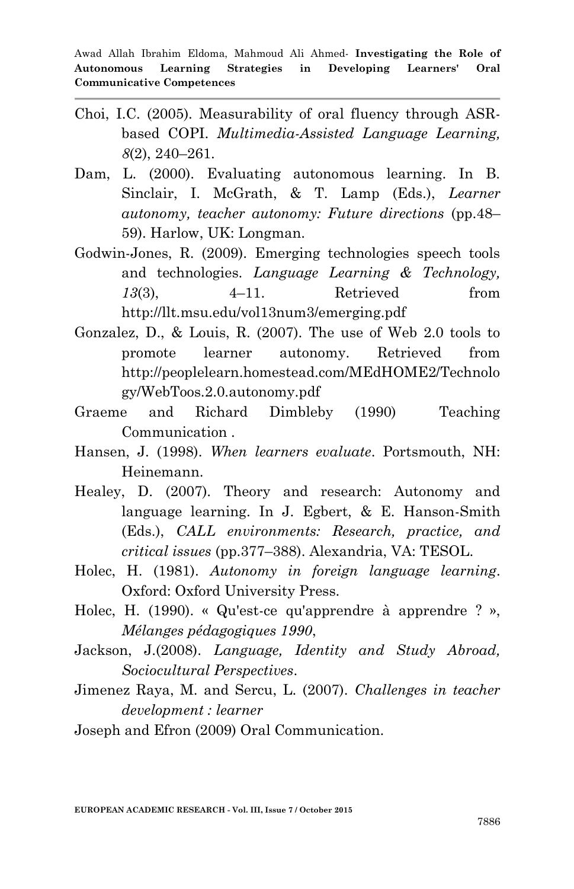- Choi, I.C. (2005). Measurability of oral fluency through ASRbased COPI. *Multimedia-Assisted Language Learning, 8*(2), 240–261.
- Dam, L. (2000). Evaluating autonomous learning. In B. Sinclair, I. McGrath, & T. Lamp (Eds.), *Learner autonomy, teacher autonomy: Future directions* (pp.48– 59). Harlow, UK: Longman.
- Godwin-Jones, R. (2009). Emerging technologies speech tools and technologies. *Language Learning & Technology, 13*(3), 4–11. Retrieved from http://llt.msu.edu/vol13num3/emerging.pdf
- Gonzalez, D., & Louis, R. (2007). The use of Web 2.0 tools to promote learner autonomy. Retrieved from http://peoplelearn.homestead.com/MEdHOME2/Technolo gy/WebToos.2.0.autonomy.pdf
- Graeme and Richard Dimbleby (1990) Teaching Communication .
- Hansen, J. (1998). *When learners evaluate*. Portsmouth, NH: Heinemann.
- Healey, D. (2007). Theory and research: Autonomy and language learning. In J. Egbert, & E. Hanson-Smith (Eds.), *CALL environments: Research, practice, and critical issues* (pp.377–388). Alexandria, VA: TESOL.
- Holec, H. (1981). *Autonomy in foreign language learning*. Oxford: Oxford University Press.
- Holec, H. (1990). « Qu'est-ce qu'apprendre à apprendre ? », *Mélanges pédagogiques 1990*,
- Jackson, J.(2008). *Language, Identity and Study Abroad, Sociocultural Perspectives*.
- Jimenez Raya, M. and Sercu, L. (2007). *Challenges in teacher development : learner*

Joseph and Efron (2009) Oral Communication.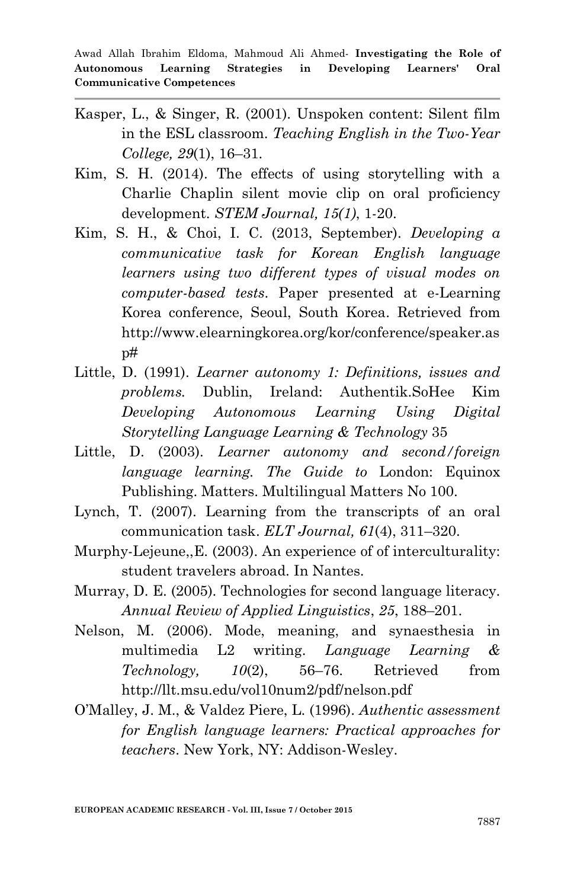- Kasper, L., & Singer, R. (2001). Unspoken content: Silent film in the ESL classroom. *Teaching English in the Two-Year College, 29*(1), 16–31.
- Kim, S. H. (2014). The effects of using storytelling with a Charlie Chaplin silent movie clip on oral proficiency development. *STEM Journal, 15(1)*, 1-20.
- Kim, S. H., & Choi, I. C. (2013, September). *Developing a communicative task for Korean English language learners using two different types of visual modes on computer-based tests*. Paper presented at e-Learning Korea conference, Seoul, South Korea. Retrieved from http://www.elearningkorea.org/kor/conference/speaker.as  $p#$
- Little, D. (1991). *Learner autonomy 1: Definitions, issues and problems.* Dublin, Ireland: Authentik.SoHee Kim *Developing Autonomous Learning Using Digital Storytelling Language Learning & Technology* 35
- Little, D. (2003). *Learner autonomy and second/foreign language learning. The Guide to* London: Equinox Publishing. Matters. Multilingual Matters No 100.
- Lynch, T. (2007). Learning from the transcripts of an oral communication task. *ELT Journal, 61*(4), 311–320.
- Murphy-Lejeune,,E. (2003). An experience of of interculturality: student travelers abroad. In Nantes.
- Murray, D. E. (2005). Technologies for second language literacy. *Annual Review of Applied Linguistics*, *25*, 188–201.
- Nelson, M. (2006). Mode, meaning, and synaesthesia in multimedia L2 writing. *Language Learning & Technology, 10*(2), 56–76. Retrieved from http://llt.msu.edu/vol10num2/pdf/nelson.pdf
- O"Malley, J. M., & Valdez Piere, L. (1996). *Authentic assessment for English language learners: Practical approaches for teachers*. New York, NY: Addison-Wesley.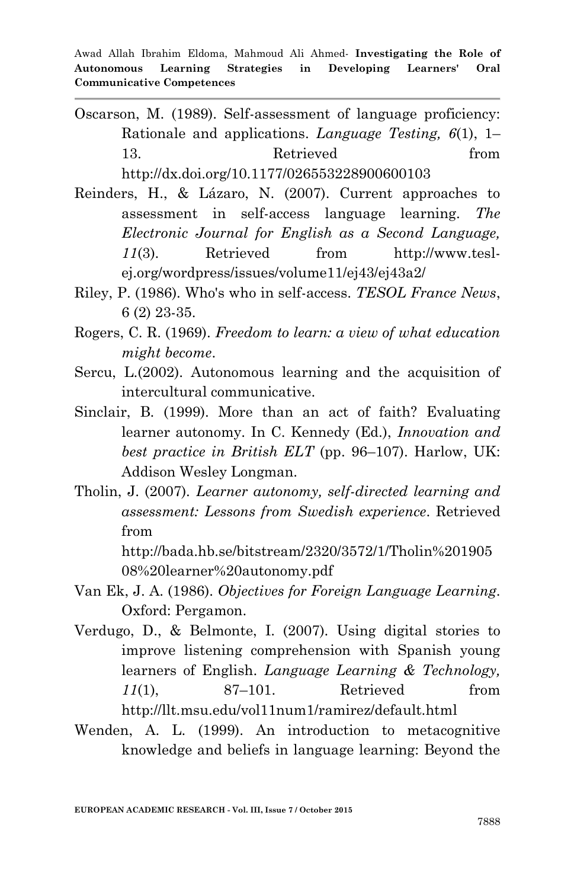- Oscarson, M. (1989). Self-assessment of language proficiency: Rationale and applications. *Language Testing, 6*(1), 1– 13. Retrieved from http://dx.doi.org/10.1177/026553228900600103
- Reinders, H., & Lázaro, N. (2007). Current approaches to assessment in self-access language learning. *The Electronic Journal for English as a Second Language, 11*(3). Retrieved from http://www.teslej.org/wordpress/issues/volume11/ej43/ej43a2/
- Riley, P. (1986). Who's who in self-access. *TESOL France News*, 6 (2) 23-35.
- Rogers, C. R. (1969). *Freedom to learn: a view of what education might become*.
- Sercu, L.(2002). Autonomous learning and the acquisition of intercultural communicative.
- Sinclair, B. (1999). More than an act of faith? Evaluating learner autonomy. In C. Kennedy (Ed.), *Innovation and best practice in British ELT* (pp. 96–107). Harlow, UK: Addison Wesley Longman.
- Tholin, J. (2007). *Learner autonomy, self-directed learning and assessment: Lessons from Swedish experience*. Retrieved from

http://bada.hb.se/bitstream/2320/3572/1/Tholin%201905 08%20learner%20autonomy.pdf

- Van Ek, J. A. (1986). *Objectives for Foreign Language Learning*. Oxford: Pergamon.
- Verdugo, D., & Belmonte, I. (2007). Using digital stories to improve listening comprehension with Spanish young learners of English. *Language Learning & Technology, 11*(1), 87–101. Retrieved from http://llt.msu.edu/vol11num1/ramirez/default.html
- Wenden, A. L. (1999). An introduction to metacognitive knowledge and beliefs in language learning: Beyond the